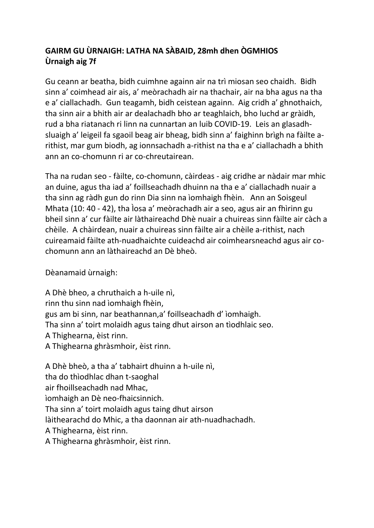## **GAIRM GU ÙRNAIGH: LATHA NA SÀBAID, 28mh dhen ÒGMHIOS Ùrnaigh aig 7f**

Gu ceann ar beatha, bidh cuimhne againn air na trì miosan seo chaidh. Bidh sinn a' coimhead air ais, a' meòrachadh air na thachair, air na bha agus na tha e a' ciallachadh. Gun teagamh, bidh ceistean againn. Aig cridh a' ghnothaich, tha sinn air a bhith air ar dealachadh bho ar teaghlaich, bho luchd ar gràidh, rud a bha riatanach ri linn na cunnartan an luib COVID-19. Leis an glasadhsluaigh a' leigeil fa sgaoil beag air bheag, bidh sinn a' faighinn brìgh na fàilte arithist, mar gum biodh, ag ionnsachadh a-rithist na tha e a' ciallachadh a bhith ann an co-chomunn ri ar co-chreutairean.

Tha na rudan seo - fàilte, co-chomunn, càirdeas - aig cridhe ar nàdair mar mhic an duine, agus tha iad a' foillseachadh dhuinn na tha e a' ciallachadh nuair a tha sinn ag ràdh gun do rinn Dia sinn na ìomhaigh fhèin. Ann an Soisgeul Mhata (10: 40 - 42), tha Ìosa a' meòrachadh air a seo, agus air an fhìrinn gu bheil sinn a' cur fàilte air làthaireachd Dhè nuair a chuireas sinn fàilte air càch a chèile. A chàirdean, nuair a chuireas sinn fàilte air a chèile a-rithist, nach cuireamaid fàilte ath-nuadhaichte cuideachd air coimhearsneachd agus air cochomunn ann an làthaireachd an Dè bheò.

Dèanamaid ùrnaigh:

A Dhè bheo, a chruthaich a h-uile nì, rinn thu sinn nad ìomhaigh fhèin, gus am bi sinn, nar beathannan,a' foillseachadh d' ìomhaigh. Tha sinn a' toirt molaidh agus taing dhut airson an tìodhlaic seo. A Thighearna, èist rinn. A Thighearna ghràsmhoir, èist rinn.

A Dhè bheò, a tha a' tabhairt dhuinn a h-uile nì, tha do thìodhlac dhan t-saoghal air fhoillseachadh nad Mhac, ìomhaigh an Dè neo-fhaicsinnich. Tha sinn a' toirt molaidh agus taing dhut airson làithearachd do Mhic, a tha daonnan air ath-nuadhachadh. A Thighearna, èist rinn. A Thighearna ghràsmhoir, èist rinn.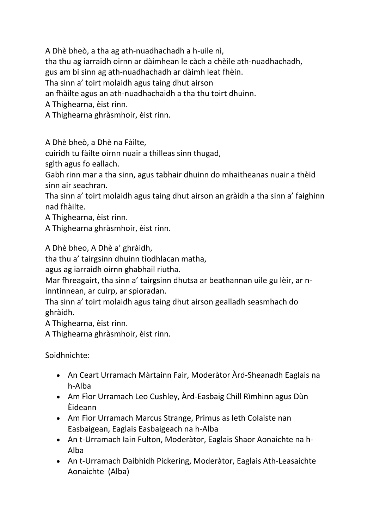A Dhè bheò, a tha ag ath-nuadhachadh a h-uile nì,

tha thu ag iarraidh oirnn ar dàimhean le càch a chèile ath-nuadhachadh,

gus am bi sinn ag ath-nuadhachadh ar dàimh leat fhèin.

Tha sinn a' toirt molaidh agus taing dhut airson

an fhàilte agus an ath-nuadhachaidh a tha thu toirt dhuinn.

A Thighearna, èist rinn.

A Thighearna ghràsmhoir, èist rinn.

A Dhè bheò, a Dhè na Fàilte,

cuiridh tu fàilte oirnn nuair a thilleas sinn thugad,

sgìth agus fo eallach.

Gabh rinn mar a tha sinn, agus tabhair dhuinn do mhaitheanas nuair a thèid sinn air seachran.

Tha sinn a' toirt molaidh agus taing dhut airson an gràidh a tha sinn a' faighinn nad fhàilte.

A Thighearna, èist rinn.

A Thighearna ghràsmhoir, èist rinn.

A Dhè bheo, A Dhè a' ghràidh,

tha thu a' tairgsinn dhuinn tìodhlacan matha,

agus ag iarraidh oirnn ghabhail riutha.

Mar fhreagairt, tha sinn a' tairgsinn dhutsa ar beathannan uile gu lèir, ar ninntinnean, ar cuirp, ar spioradan.

Tha sinn a' toirt molaidh agus taing dhut airson gealladh seasmhach do ghràidh.

A Thighearna, èist rinn.

A Thighearna ghràsmhoir, èist rinn.

Soidhnichte:

- An Ceart Urramach Màrtainn Fair, Moderàtor Àrd-Sheanadh Eaglais na h-Alba
- Am Fìor Urramach Leo Cushley, Àrd-Easbaig Chill Rìmhinn agus Dùn Èideann
- Am Fìor Urramach Marcus Strange, Primus as leth Colaiste nan Easbaigean, Eaglais Easbaigeach na h-Alba
- An t-Urramach Iain Fulton, Moderàtor, Eaglais Shaor Aonaichte na h-Alba
- An t-Urramach Daibhidh Pickering, Moderàtor, Eaglais Ath-Leasaichte Aonaichte (Alba)